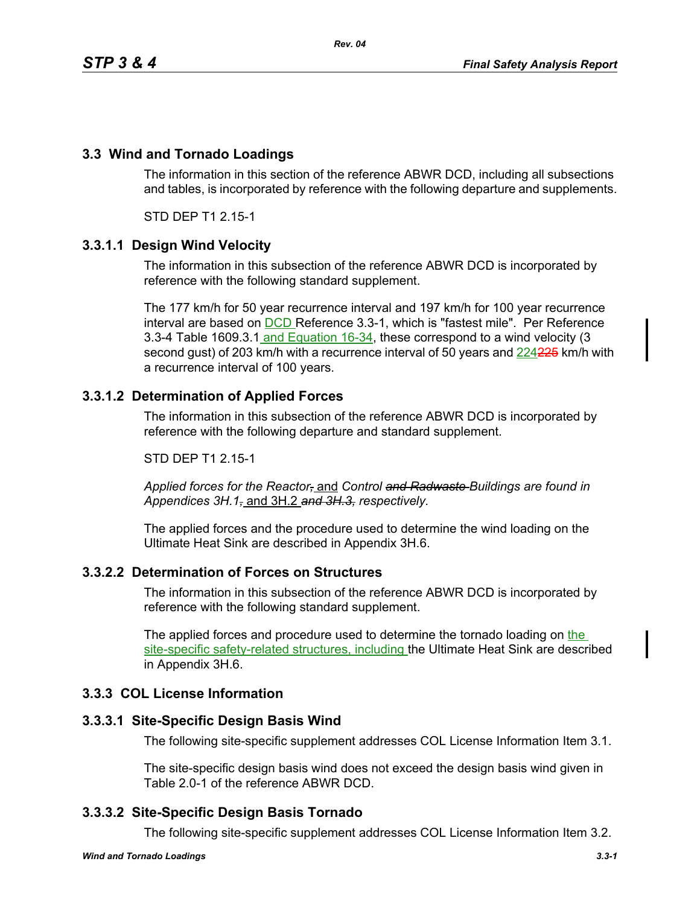# **3.3 Wind and Tornado Loadings**

The information in this section of the reference ABWR DCD, including all subsections and tables, is incorporated by reference with the following departure and supplements.

STD DEP T1 2.15-1

## **3.3.1.1 Design Wind Velocity**

The information in this subsection of the reference ABWR DCD is incorporated by reference with the following standard supplement.

The 177 km/h for 50 year recurrence interval and 197 km/h for 100 year recurrence interval are based on DCD Reference 3.3-1, which is "fastest mile". Per Reference 3.3-4 Table 1609.3.1 and Equation 16-34, these correspond to a wind velocity (3 second gust) of 203 km/h with a recurrence interval of 50 years and 224225 km/h with a recurrence interval of 100 years.

## **3.3.1.2 Determination of Applied Forces**

The information in this subsection of the reference ABWR DCD is incorporated by reference with the following departure and standard supplement.

#### STD DEP T1 2 15-1

*Applied forces for the Reactor,* and *Control and Radwaste Buildings are found in Appendices 3H.1,* and 3H.2 *and 3H.3, respectively.*

The applied forces and the procedure used to determine the wind loading on the Ultimate Heat Sink are described in Appendix 3H.6.

## **3.3.2.2 Determination of Forces on Structures**

The information in this subsection of the reference ABWR DCD is incorporated by reference with the following standard supplement.

The applied forces and procedure used to determine the tornado loading on the site-specific safety-related structures, including the Ultimate Heat Sink are described in Appendix 3H.6.

## **3.3.3 COL License Information**

## **3.3.3.1 Site-Specific Design Basis Wind**

The following site-specific supplement addresses COL License Information Item 3.1.

The site-specific design basis wind does not exceed the design basis wind given in Table 2.0-1 of the reference ABWR DCD.

## **3.3.3.2 Site-Specific Design Basis Tornado**

The following site-specific supplement addresses COL License Information Item 3.2.